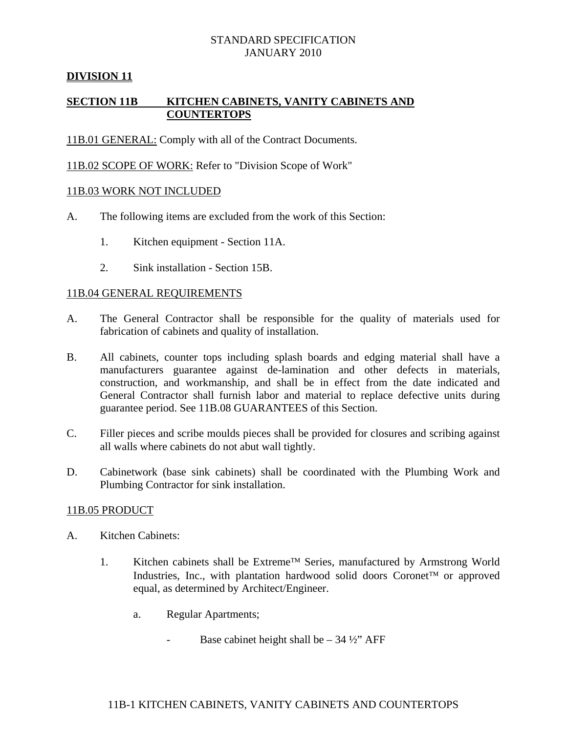# **DIVISION 11**

# **SECTION 11B KITCHEN CABINETS, VANITY CABINETS AND COUNTERTOPS**

11B.01 GENERAL: Comply with all of the Contract Documents.

11B.02 SCOPE OF WORK: Refer to "Division Scope of Work"

### 11B.03 WORK NOT INCLUDED

- A. The following items are excluded from the work of this Section:
	- 1. Kitchen equipment Section 11A.
	- 2. Sink installation Section 15B.

### 11B.04 GENERAL REQUIREMENTS

- A. The General Contractor shall be responsible for the quality of materials used for fabrication of cabinets and quality of installation.
- B. All cabinets, counter tops including splash boards and edging material shall have a manufacturers guarantee against de-lamination and other defects in materials, construction, and workmanship, and shall be in effect from the date indicated and General Contractor shall furnish labor and material to replace defective units during guarantee period. See 11B.08 GUARANTEES of this Section.
- C. Filler pieces and scribe moulds pieces shall be provided for closures and scribing against all walls where cabinets do not abut wall tightly.
- D. Cabinetwork (base sink cabinets) shall be coordinated with the Plumbing Work and Plumbing Contractor for sink installation.

### 11B.05 PRODUCT

- A. Kitchen Cabinets:
	- 1. Kitchen cabinets shall be Extreme<sup>TM</sup> Series, manufactured by Armstrong World Industries, Inc., with plantation hardwood solid doors Coronet<sup>TM</sup> or approved equal, as determined by Architect/Engineer.
		- a. Regular Apartments;
			- Base cabinet height shall be  $34 \frac{1}{2}$  AFF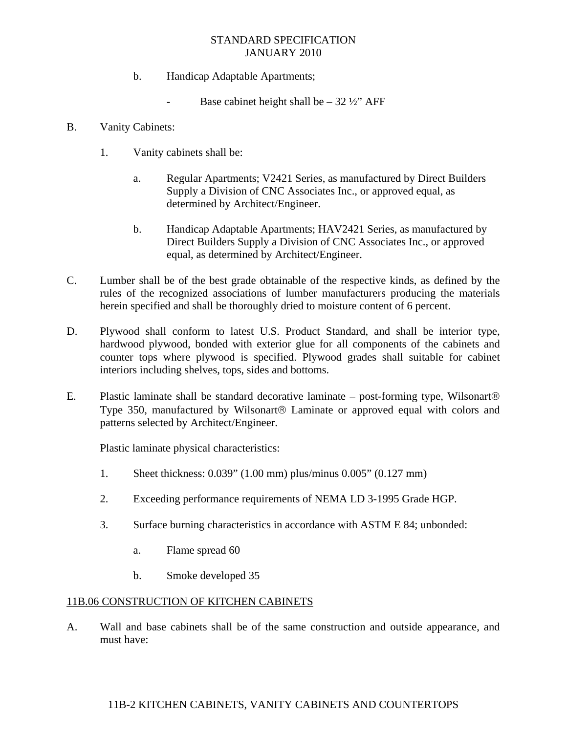- b. Handicap Adaptable Apartments;
	- Base cabinet height shall be  $32 \frac{1}{2}$ " AFF
- B. Vanity Cabinets:
	- 1. Vanity cabinets shall be:
		- a. Regular Apartments; V2421 Series, as manufactured by Direct Builders Supply a Division of CNC Associates Inc., or approved equal, as determined by Architect/Engineer.
		- b. Handicap Adaptable Apartments; HAV2421 Series, as manufactured by Direct Builders Supply a Division of CNC Associates Inc., or approved equal, as determined by Architect/Engineer.
- C. Lumber shall be of the best grade obtainable of the respective kinds, as defined by the rules of the recognized associations of lumber manufacturers producing the materials herein specified and shall be thoroughly dried to moisture content of 6 percent.
- D. Plywood shall conform to latest U.S. Product Standard, and shall be interior type, hardwood plywood, bonded with exterior glue for all components of the cabinets and counter tops where plywood is specified. Plywood grades shall suitable for cabinet interiors including shelves, tops, sides and bottoms.
- E. Plastic laminate shall be standard decorative laminate post-forming type, Wilsonart Type 350, manufactured by Wilsonart<sup>®</sup> Laminate or approved equal with colors and patterns selected by Architect/Engineer.

Plastic laminate physical characteristics:

- 1. Sheet thickness: 0.039" (1.00 mm) plus/minus 0.005" (0.127 mm)
- 2. Exceeding performance requirements of NEMA LD 3-1995 Grade HGP.
- 3. Surface burning characteristics in accordance with ASTM E 84; unbonded:
	- a. Flame spread 60
	- b. Smoke developed 35

### 11B.06 CONSTRUCTION OF KITCHEN CABINETS

A. Wall and base cabinets shall be of the same construction and outside appearance, and must have:

# 11B-2 KITCHEN CABINETS, VANITY CABINETS AND COUNTERTOPS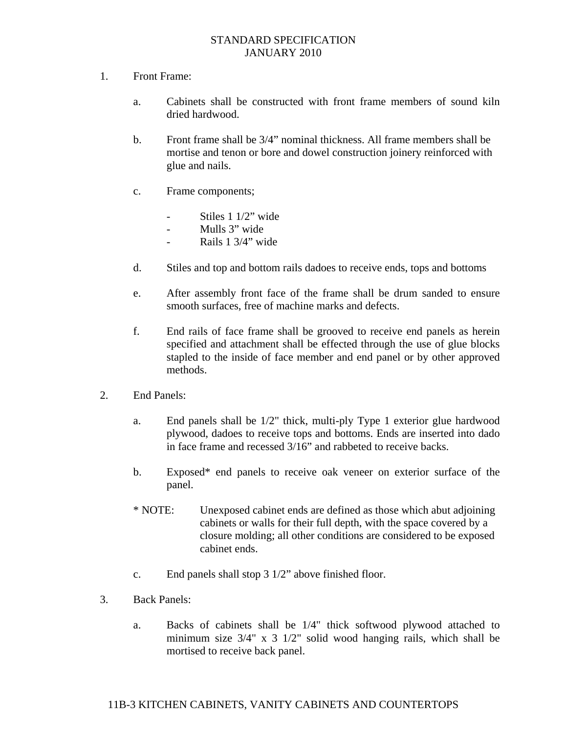- 1. Front Frame:
	- a. Cabinets shall be constructed with front frame members of sound kiln dried hardwood.
	- b. Front frame shall be 3/4" nominal thickness. All frame members shall be mortise and tenon or bore and dowel construction joinery reinforced with glue and nails.
	- c. Frame components;
		- Stiles 1 1/2" wide
		- Mulls 3" wide
		- Rails 1 3/4" wide
	- d. Stiles and top and bottom rails dadoes to receive ends, tops and bottoms
	- e. After assembly front face of the frame shall be drum sanded to ensure smooth surfaces, free of machine marks and defects.
	- f. End rails of face frame shall be grooved to receive end panels as herein specified and attachment shall be effected through the use of glue blocks stapled to the inside of face member and end panel or by other approved methods.
- 2. End Panels:
	- a. End panels shall be 1/2" thick, multi-ply Type 1 exterior glue hardwood plywood, dadoes to receive tops and bottoms. Ends are inserted into dado in face frame and recessed 3/16" and rabbeted to receive backs.
	- b. Exposed\* end panels to receive oak veneer on exterior surface of the panel.
	- \* NOTE: Unexposed cabinet ends are defined as those which abut adjoining cabinets or walls for their full depth, with the space covered by a closure molding; all other conditions are considered to be exposed cabinet ends.
	- c. End panels shall stop 3 1/2" above finished floor.
- 3. Back Panels:
	- a. Backs of cabinets shall be 1/4" thick softwood plywood attached to minimum size 3/4" x 3 1/2" solid wood hanging rails, which shall be mortised to receive back panel.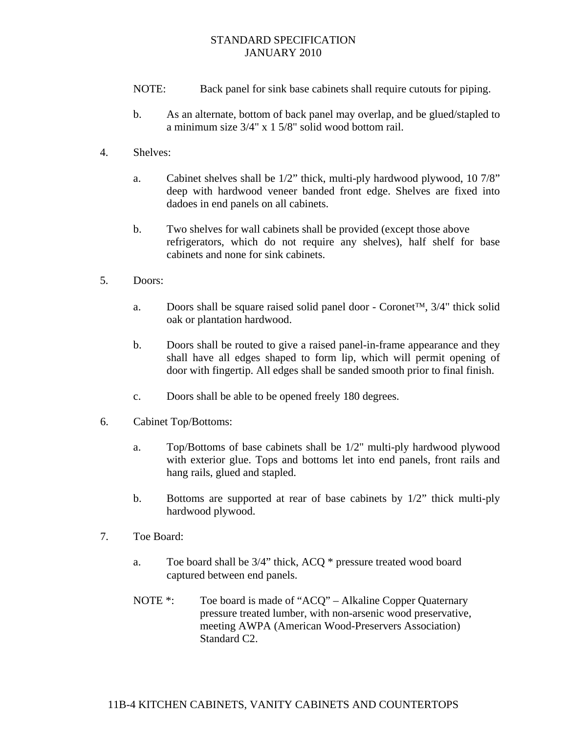- NOTE: Back panel for sink base cabinets shall require cutouts for piping.
- b. As an alternate, bottom of back panel may overlap, and be glued/stapled to a minimum size 3/4" x 1 5/8" solid wood bottom rail.
- 4. Shelves:
	- a. Cabinet shelves shall be 1/2" thick, multi-ply hardwood plywood, 10 7/8" deep with hardwood veneer banded front edge. Shelves are fixed into dadoes in end panels on all cabinets.
	- b. Two shelves for wall cabinets shall be provided (except those above refrigerators, which do not require any shelves), half shelf for base cabinets and none for sink cabinets.
- 5. Doors:
	- a. Doors shall be square raised solid panel door Coronet<sup>TM</sup>,  $3/4$ " thick solid oak or plantation hardwood.
	- b. Doors shall be routed to give a raised panel-in-frame appearance and they shall have all edges shaped to form lip, which will permit opening of door with fingertip. All edges shall be sanded smooth prior to final finish.
	- c. Doors shall be able to be opened freely 180 degrees.
- 6. Cabinet Top/Bottoms:
	- a. Top/Bottoms of base cabinets shall be 1/2" multi-ply hardwood plywood with exterior glue. Tops and bottoms let into end panels, front rails and hang rails, glued and stapled.
	- b. Bottoms are supported at rear of base cabinets by 1/2" thick multi-ply hardwood plywood.
- 7. Toe Board:
	- a. Toe board shall be 3/4" thick, ACQ \* pressure treated wood board captured between end panels.
	- NOTE \*: Toe board is made of "ACQ" Alkaline Copper Quaternary pressure treated lumber, with non-arsenic wood preservative, meeting AWPA (American Wood-Preservers Association) Standard C2.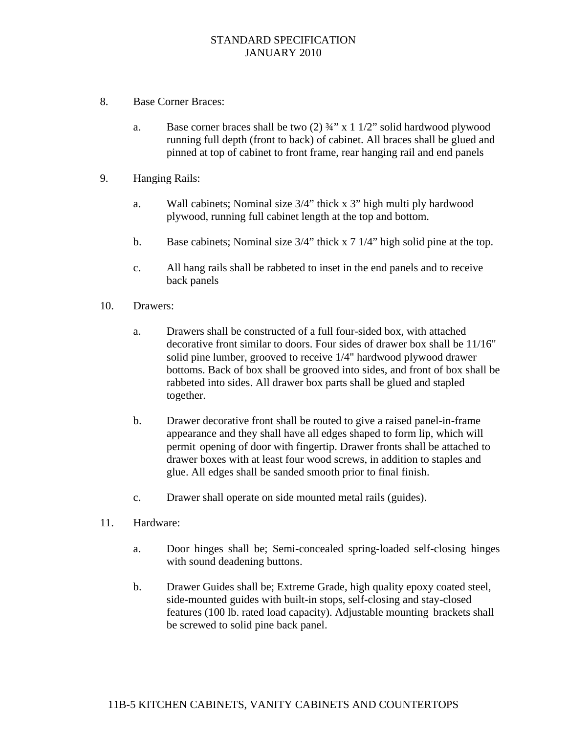- 8. Base Corner Braces:
	- a. Base corner braces shall be two  $(2)$   $\frac{3}{4}$ " x 1  $\frac{1}{2}$ " solid hardwood plywood running full depth (front to back) of cabinet. All braces shall be glued and pinned at top of cabinet to front frame, rear hanging rail and end panels
- 9. Hanging Rails:
	- a. Wall cabinets; Nominal size 3/4" thick x 3" high multi ply hardwood plywood, running full cabinet length at the top and bottom.
	- b. Base cabinets; Nominal size 3/4" thick x 7 1/4" high solid pine at the top.
	- c. All hang rails shall be rabbeted to inset in the end panels and to receive back panels
- 10. Drawers:
	- a. Drawers shall be constructed of a full four-sided box, with attached decorative front similar to doors. Four sides of drawer box shall be 11/16" solid pine lumber, grooved to receive 1/4" hardwood plywood drawer bottoms. Back of box shall be grooved into sides, and front of box shall be rabbeted into sides. All drawer box parts shall be glued and stapled together.
	- b. Drawer decorative front shall be routed to give a raised panel-in-frame appearance and they shall have all edges shaped to form lip, which will permit opening of door with fingertip. Drawer fronts shall be attached to drawer boxes with at least four wood screws, in addition to staples and glue. All edges shall be sanded smooth prior to final finish.
	- c. Drawer shall operate on side mounted metal rails (guides).
- 11. Hardware:
	- a. Door hinges shall be; Semi-concealed spring-loaded self-closing hinges with sound deadening buttons.
	- b. Drawer Guides shall be; Extreme Grade, high quality epoxy coated steel, side-mounted guides with built-in stops, self-closing and stay-closed features (100 lb. rated load capacity). Adjustable mounting brackets shall be screwed to solid pine back panel.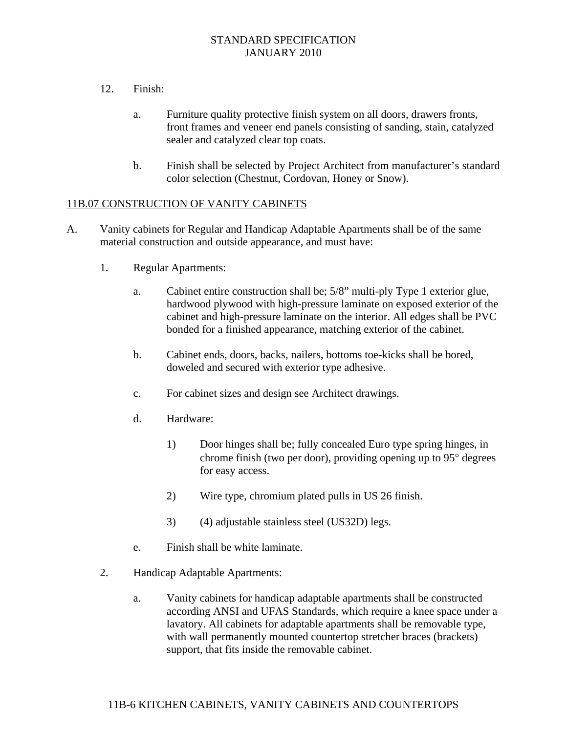- 12. Finish:
	- a. Furniture quality protective finish system on all doors, drawers fronts, front frames and veneer end panels consisting of sanding, stain, catalyzed sealer and catalyzed clear top coats.
	- b. Finish shall be selected by Project Architect from manufacturer's standard color selection (Chestnut, Cordovan, Honey or Snow).

### 11B.07 CONSTRUCTION OF VANITY CABINETS

- A. Vanity cabinets for Regular and Handicap Adaptable Apartments shall be of the same material construction and outside appearance, and must have:
	- 1. Regular Apartments:
		- a. Cabinet entire construction shall be; 5/8" multi-ply Type 1 exterior glue, hardwood plywood with high-pressure laminate on exposed exterior of the cabinet and high-pressure laminate on the interior. All edges shall be PVC bonded for a finished appearance, matching exterior of the cabinet.
		- b. Cabinet ends, doors, backs, nailers, bottoms toe-kicks shall be bored, doweled and secured with exterior type adhesive.
		- c. For cabinet sizes and design see Architect drawings.
		- d. Hardware:
			- 1) Door hinges shall be; fully concealed Euro type spring hinges, in chrome finish (two per door), providing opening up to  $95^\circ$  degrees for easy access.
			- 2) Wire type, chromium plated pulls in US 26 finish.
			- 3) (4) adjustable stainless steel (US32D) legs.
		- e. Finish shall be white laminate.
	- 2. Handicap Adaptable Apartments:
		- a. Vanity cabinets for handicap adaptable apartments shall be constructed according ANSI and UFAS Standards, which require a knee space under a lavatory. All cabinets for adaptable apartments shall be removable type, with wall permanently mounted countertop stretcher braces (brackets) support, that fits inside the removable cabinet.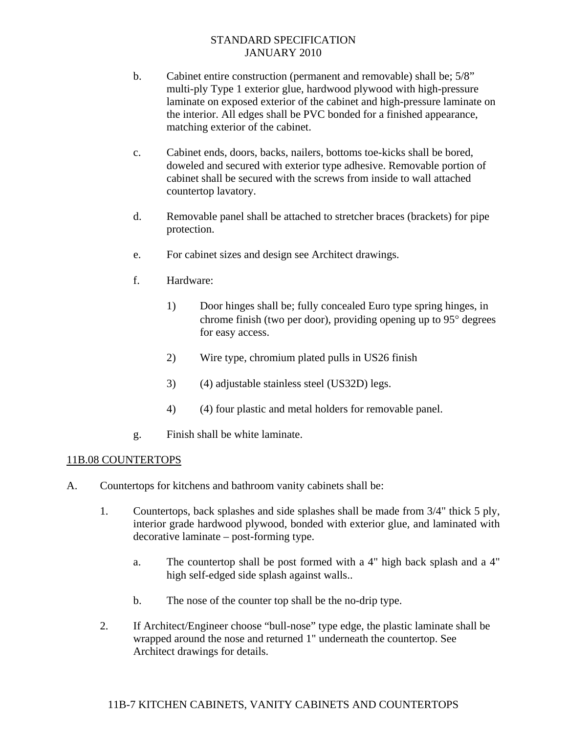- b. Cabinet entire construction (permanent and removable) shall be; 5/8" multi-ply Type 1 exterior glue, hardwood plywood with high-pressure laminate on exposed exterior of the cabinet and high-pressure laminate on the interior. All edges shall be PVC bonded for a finished appearance, matching exterior of the cabinet.
- c. Cabinet ends, doors, backs, nailers, bottoms toe-kicks shall be bored, doweled and secured with exterior type adhesive. Removable portion of cabinet shall be secured with the screws from inside to wall attached countertop lavatory.
- d. Removable panel shall be attached to stretcher braces (brackets) for pipe protection.
- e. For cabinet sizes and design see Architect drawings.
- f. Hardware:
	- 1) Door hinges shall be; fully concealed Euro type spring hinges, in chrome finish (two per door), providing opening up to  $95^\circ$  degrees for easy access.
	- 2) Wire type, chromium plated pulls in US26 finish
	- 3) (4) adjustable stainless steel (US32D) legs.
	- 4) (4) four plastic and metal holders for removable panel.
- g. Finish shall be white laminate.

### 11B.08 COUNTERTOPS

- A. Countertops for kitchens and bathroom vanity cabinets shall be:
	- 1. Countertops, back splashes and side splashes shall be made from 3/4" thick 5 ply, interior grade hardwood plywood, bonded with exterior glue, and laminated with decorative laminate – post-forming type.
		- a. The countertop shall be post formed with a 4" high back splash and a 4" high self-edged side splash against walls..
		- b. The nose of the counter top shall be the no-drip type.
	- 2. If Architect/Engineer choose "bull-nose" type edge, the plastic laminate shall be wrapped around the nose and returned 1" underneath the countertop. See Architect drawings for details.

# 11B-7 KITCHEN CABINETS, VANITY CABINETS AND COUNTERTOPS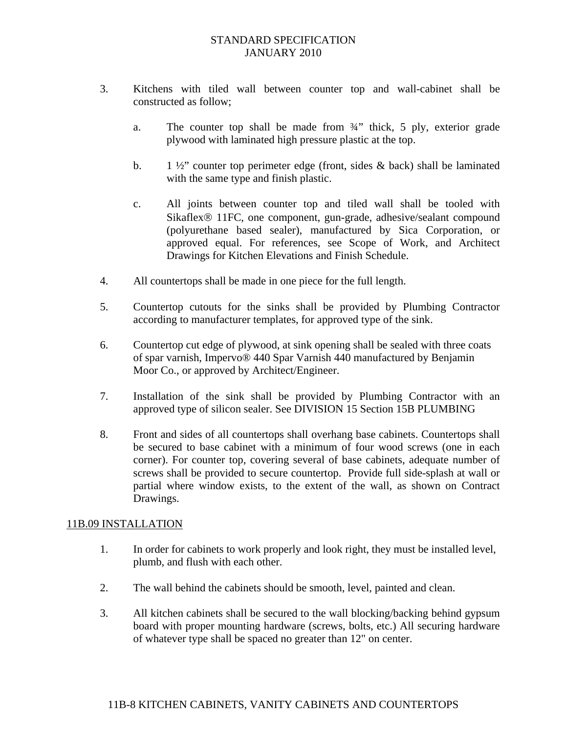- 3. Kitchens with tiled wall between counter top and wall-cabinet shall be constructed as follow;
	- a. The counter top shall be made from ¾" thick, 5 ply, exterior grade plywood with laminated high pressure plastic at the top.
	- b. 1  $\frac{1}{2}$  counter top perimeter edge (front, sides & back) shall be laminated with the same type and finish plastic.
	- c. All joints between counter top and tiled wall shall be tooled with Sikaflex<sup>®</sup> 11FC, one component, gun-grade, adhesive/sealant compound (polyurethane based sealer), manufactured by Sica Corporation, or approved equal. For references, see Scope of Work, and Architect Drawings for Kitchen Elevations and Finish Schedule.
- 4. All countertops shall be made in one piece for the full length.
- 5. Countertop cutouts for the sinks shall be provided by Plumbing Contractor according to manufacturer templates, for approved type of the sink.
- 6. Countertop cut edge of plywood, at sink opening shall be sealed with three coats of spar varnish, Impervo® 440 Spar Varnish 440 manufactured by Benjamin Moor Co., or approved by Architect/Engineer.
- 7. Installation of the sink shall be provided by Plumbing Contractor with an approved type of silicon sealer. See DIVISION 15 Section 15B PLUMBING
- 8. Front and sides of all countertops shall overhang base cabinets. Countertops shall be secured to base cabinet with a minimum of four wood screws (one in each corner). For counter top, covering several of base cabinets, adequate number of screws shall be provided to secure countertop. Provide full side-splash at wall or partial where window exists, to the extent of the wall, as shown on Contract Drawings.

### 11B.09 INSTALLATION

- 1. In order for cabinets to work properly and look right, they must be installed level, plumb, and flush with each other.
- 2. The wall behind the cabinets should be smooth, level, painted and clean.
- 3. All kitchen cabinets shall be secured to the wall blocking/backing behind gypsum board with proper mounting hardware (screws, bolts, etc.) All securing hardware of whatever type shall be spaced no greater than 12" on center.